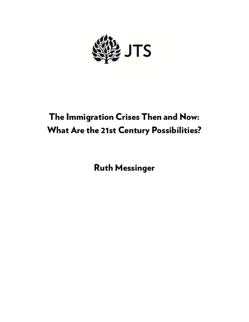

# The Immigration Crises Then and Now: What Are the 21st Century Possibilities?

Ruth Messinger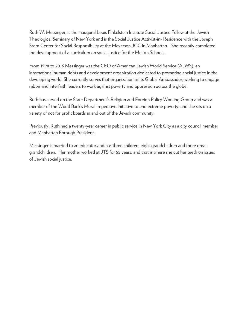Ruth W. Messinger, is the inaugural Louis Finkelstein Institute Social Justice Fellow at the Jewish Theological Seminary of New York and is the Social Justice Activist-in- Residence with the Joseph Stern Center for Social Responsibility at the Meyerson JCC in Manhattan. She recently completed the development of a curriculum on social justice for the Melton Schools.

From 1998 to 2016 Messinger was the CEO of American Jewish World Service (AJWS), an international human rights and development organization dedicated to promoting social justice in the developing world. She currently serves that organization as its Global Ambassador, working to engage rabbis and interfaith leaders to work against poverty and oppression across the globe.

Ruth has served on the State Department's Religion and Foreign Policy Working Group and was a member of the World Bank's Moral Imperative Initiative to end extreme poverty, and she sits on a variety of not for profit boards in and out of the Jewish community.

Previously, Ruth had a twenty-year career in public service in New York City as a city council member and Manhattan Borough President.

Messinger is married to an educator and has three children, eight grandchildren and three great grandchildren. Her mother worked at JTS for 55 years, and that is where she cut her teeth on issues of Jewish social justice.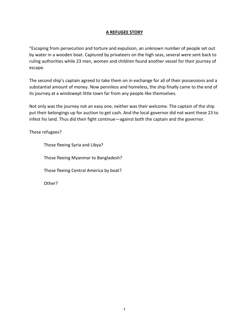# **A REFUGEE STORY**

"Escaping from persecution and torture and expulsion, an unknown number of people set out by water in a wooden boat. Captured by privateers on the high seas, several were sent back to ruling authorities while 23 men, women and children found another vessel for their journey of escape.

The second ship's captain agreed to take them on in exchange for all of their possessions and a substantial amount of money. Now penniless and homeless, the ship finally came to the end of its journey at a windswept little town far from any people like themselves.

Not only was the journey not an easy one, neither was their welcome. The captain of the ship put their belongings up for auction to get cash. And the local governor did not want these 23 to infest his land. Thus did their fight continue—against both the captain and the governor.

These refugees?

Those fleeing Syria and Libya?

Those fleeing Myanmar to Bangladesh?

Those fleeing Central America by boat?

Other?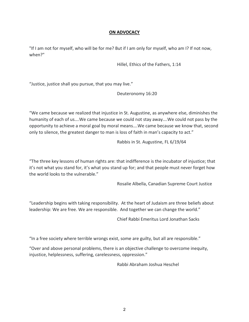## **ON ADVOCACY**

"If I am not for myself, who will be for me? But if I am only for myself, who am I? If not now, when?"

Hillel, Ethics of the Fathers, 1:14

"Justice, justice shall you pursue, that you may live."

Deuteronomy 16:20

"We came because we realized that injustice in St. Augustine, as anywhere else, diminishes the humanity of each of us….We came because we could not stay away….We could not pass by the opportunity to achieve a moral goal by moral means….We came because we know that, second only to silence, the greatest danger to man is loss of faith in man's capacity to act."

Rabbis in St. Augustine, FL 6/19/64

"The three key lessons of human rights are: that indifference is the incubator of injustice; that it's not what you stand for, it's what you stand up for; and that people must never forget how the world looks to the vulnerable."

Rosalie Albella, Canadian Supreme Court Justice

"Leadership begins with taking responsibility. At the heart of Judaism are three beliefs about leadership: We are free. We are responsible. And together we can change the world."

Chief Rabbi Emeritus Lord Jonathan Sacks

"In a free society where terrible wrongs exist, some are guilty, but all are responsible."

"Over and above personal problems, there is an objective challenge to overcome inequity, injustice, helplessness, suffering, carelessness, oppression."

Rabbi Abraham Joshua Heschel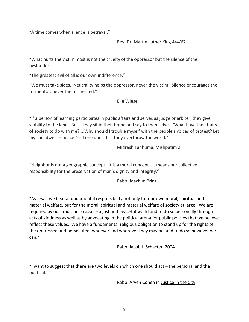"A time comes when silence is betrayal."

Rev. Dr. Martin Luther King 4/4/67

"What hurts the victim most is not the cruelty of the oppressor but the silence of the bystander."

"The greatest evil of all is our own indifference."

"We must take sides. Neutrality helps the oppressor, never the victim. Silence encourages the tormentor, never the tormented."

Elie Wiesel

"If a person of learning participates in public affairs and serves as judge or arbiter, they give stability to the land...But if they sit in their home and say to themselves, 'What have the affairs of society to do with me? ...Why should I trouble myself with the people's voices of protest? Let my soul dwell in peace!'—if one does this, they overthrow the world."

Midrash Tanḥuma, Mishpatim 2

"Neighbor is not a geographic concept. It is a moral concept. It means our collective responsibility for the preservation of man's dignity and integrity."

Rabbi Joachim Prinz

"As Jews, we bear a fundamental responsibility not only for our own moral, spiritual and material welfare, but for the moral, spiritual and material welfare of society at large. We are required by our tradition to assure a just and peaceful world and to do so personally through acts of kindness as well as by advocating in the political arena for public policies that we believe reflect these values. We have a fundamental religious obligation to stand up for the rights of the oppressed and persecuted, whoever and wherever they may be, and to do so however we can."

Rabbi Jacob J. Schacter, 2004

"I want to suggest that there are two levels on which one should act—the personal and the political.

Rabbi Aryeh Cohen in Justice in the City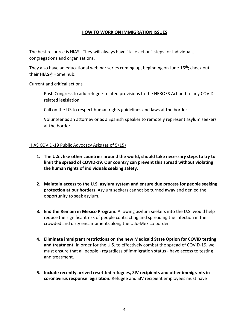## **HOW TO WORK ON IMMIGRATION ISSUES**

The best resource is HIAS. They will always have "take action" steps for individuals, congregations and organizations.

They also have an educational webinar series coming up, beginning on June 16<sup>th</sup>; check out their HIAS@Home hub.

Current and critical actions

Push Congress to add refugee-related provisions to the HEROES Act and to any COVIDrelated legislation

Call on the US to respect human rights guidelines and laws at the border

Volunteer as an attorney or as a Spanish speaker to remotely represent asylum seekers at the border.

## HIAS COVID-19 Public Advocacy Asks (as of 5/15)

- **1. The U.S., like other countries around the world, should take necessary steps to try to limit the spread of COVID-19. Our country can prevent this spread without violating the human rights of individuals seeking safety.**
- **2. Maintain access to the U.S. asylum system and ensure due process for people seeking protection at our borders**. Asylum seekers cannot be turned away and denied the opportunity to seek asylum.
- **3. End the Remain in Mexico Program.** Allowing asylum seekers into the U.S. would help reduce the significant risk of people contracting and spreading the infection in the crowded and dirty encampments along the U.S.-Mexico border
- **4. Eliminate immigrant restrictions on the new Medicaid State Option for COVID testing and treatment.** In order for the U.S. to effectively combat the spread of COVID-19, we must ensure that all people - regardless of immigration status - have access to testing and treatment.
- **5. Include recently arrived resettled refugees, SIV recipients and other immigrants in coronavirus response legislation.** Refugee and SIV recipient employees must have